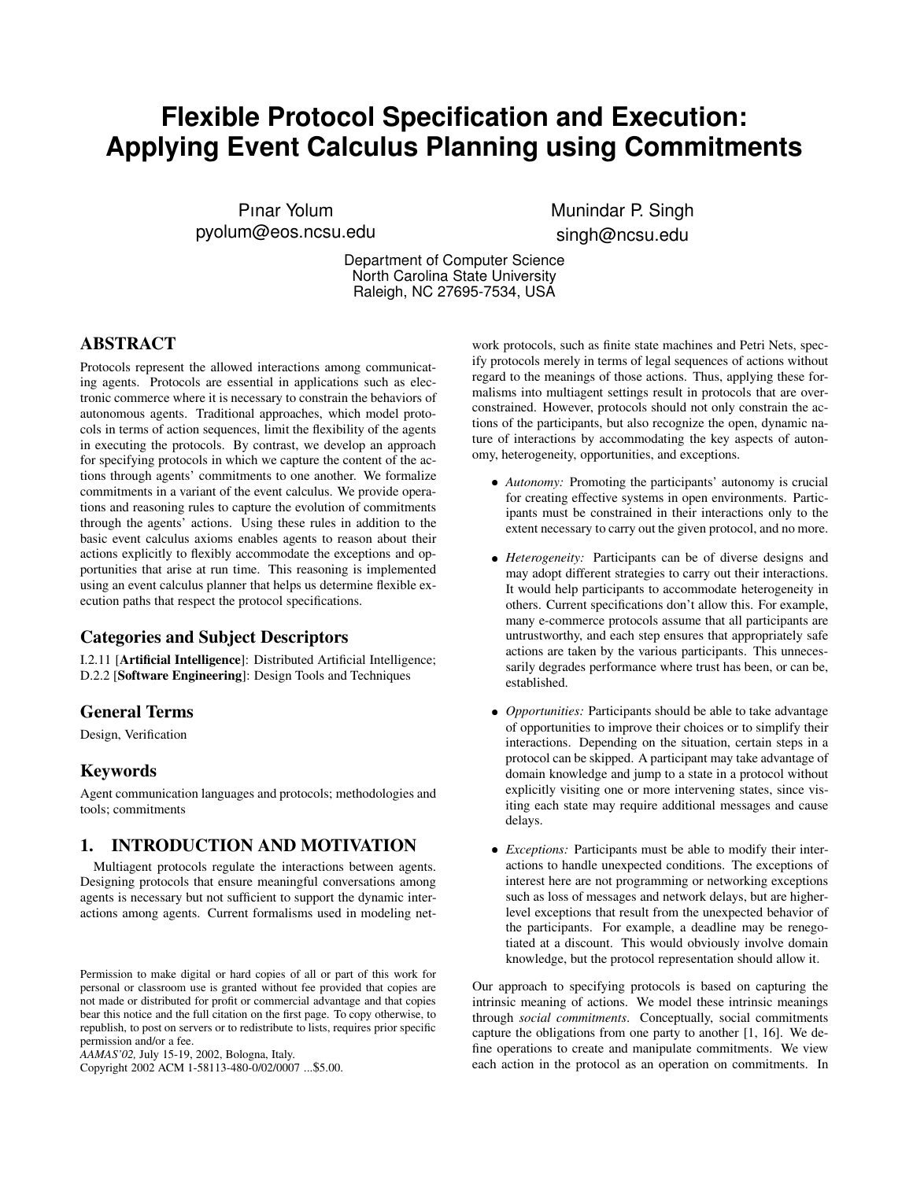# **Flexible Protocol Specification and Execution: Applying Event Calculus Planning using Commitments**

Pınar Yolum pyolum@eos.ncsu.edu Munindar P. Singh singh@ncsu.edu

Department of Computer Science North Carolina State University Raleigh, NC 27695-7534, USA

# **ABSTRACT**

Protocols represent the allowed interactions among communicating agents. Protocols are essential in applications such as electronic commerce where it is necessary to constrain the behaviors of autonomous agents. Traditional approaches, which model protocols in terms of action sequences, limit the flexibility of the agents in executing the protocols. By contrast, we develop an approach for specifying protocols in which we capture the content of the actions through agents' commitments to one another. We formalize commitments in a variant of the event calculus. We provide operations and reasoning rules to capture the evolution of commitments through the agents' actions. Using these rules in addition to the basic event calculus axioms enables agents to reason about their actions explicitly to flexibly accommodate the exceptions and opportunities that arise at run time. This reasoning is implemented using an event calculus planner that helps us determine flexible execution paths that respect the protocol specifications.

## **Categories and Subject Descriptors**

I.2.11 [**Artificial Intelligence**]: Distributed Artificial Intelligence; D.2.2 [**Software Engineering**]: Design Tools and Techniques

# **General Terms**

Design, Verification

# **Keywords**

Agent communication languages and protocols; methodologies and tools; commitments

# **1. INTRODUCTION AND MOTIVATION**

Multiagent protocols regulate the interactions between agents. Designing protocols that ensure meaningful conversations among agents is necessary but not sufficient to support the dynamic interactions among agents. Current formalisms used in modeling net-

Copyright 2002 ACM 1-58113-480-0/02/0007 ...\$5.00.

work protocols, such as finite state machines and Petri Nets, specify protocols merely in terms of legal sequences of actions without regard to the meanings of those actions. Thus, applying these formalisms into multiagent settings result in protocols that are overconstrained. However, protocols should not only constrain the actions of the participants, but also recognize the open, dynamic nature of interactions by accommodating the key aspects of autonomy, heterogeneity, opportunities, and exceptions.

- *Autonomy:* Promoting the participants' autonomy is crucial for creating effective systems in open environments. Participants must be constrained in their interactions only to the extent necessary to carry out the given protocol, and no more.
- *Heterogeneity:* Participants can be of diverse designs and may adopt different strategies to carry out their interactions. It would help participants to accommodate heterogeneity in others. Current specifications don't allow this. For example, many e-commerce protocols assume that all participants are untrustworthy, and each step ensures that appropriately safe actions are taken by the various participants. This unnecessarily degrades performance where trust has been, or can be, established.
- *Opportunities:* Participants should be able to take advantage of opportunities to improve their choices or to simplify their interactions. Depending on the situation, certain steps in a protocol can be skipped. A participant may take advantage of domain knowledge and jump to a state in a protocol without explicitly visiting one or more intervening states, since visiting each state may require additional messages and cause delays.
- *Exceptions:* Participants must be able to modify their interactions to handle unexpected conditions. The exceptions of interest here are not programming or networking exceptions such as loss of messages and network delays, but are higherlevel exceptions that result from the unexpected behavior of the participants. For example, a deadline may be renegotiated at a discount. This would obviously involve domain knowledge, but the protocol representation should allow it.

Our approach to specifying protocols is based on capturing the intrinsic meaning of actions. We model these intrinsic meanings through *social commitments*. Conceptually, social commitments capture the obligations from one party to another [1, 16]. We define operations to create and manipulate commitments. We view each action in the protocol as an operation on commitments. In

Permission to make digital or hard copies of all or part of this work for personal or classroom use is granted without fee provided that copies are not made or distributed for profit or commercial advantage and that copies bear this notice and the full citation on the first page. To copy otherwise, to republish, to post on servers or to redistribute to lists, requires prior specific permission and/or a fee.

*AAMAS'02,* July 15-19, 2002, Bologna, Italy.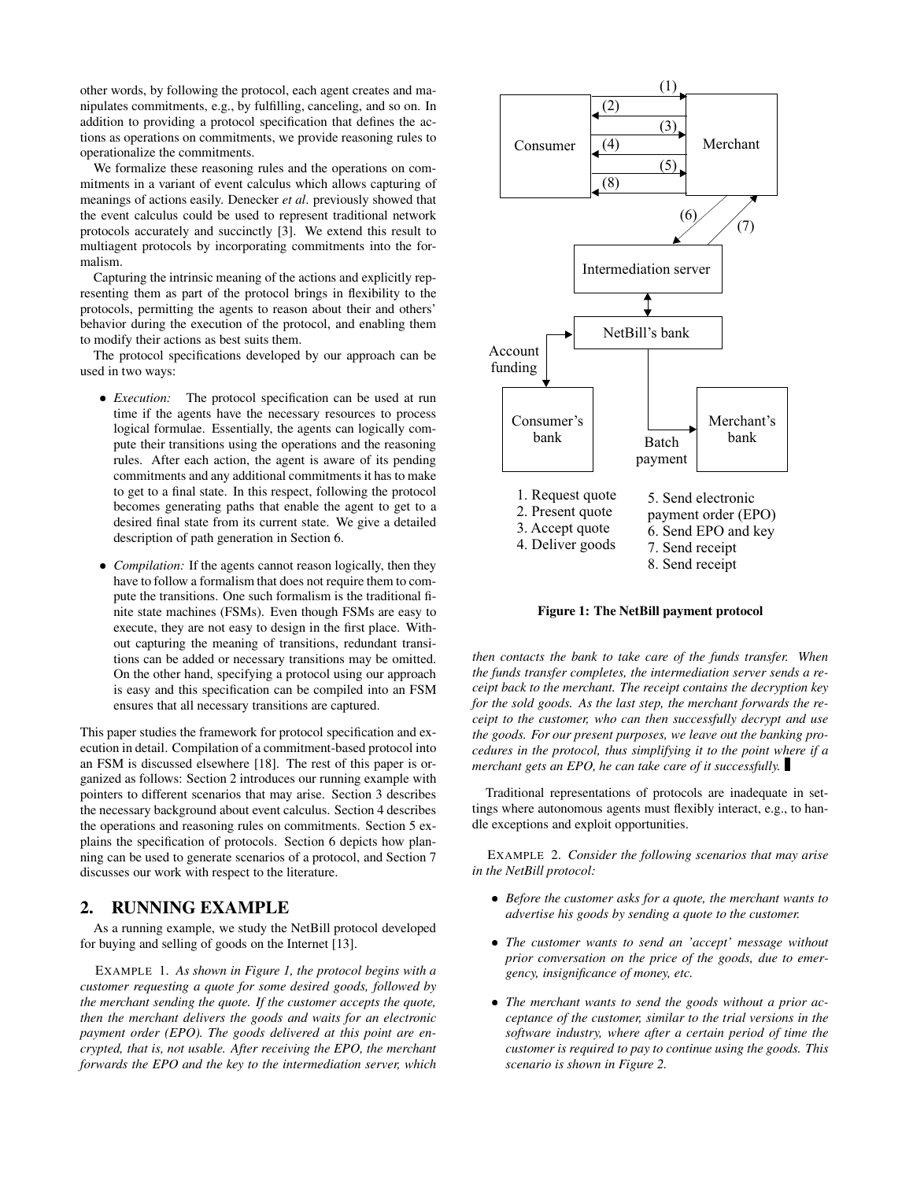other words, by following the protocol, each agent creates and manipulates commitments, e.g., by fulfilling, canceling, and so on. In addition to providing a protocol specification that defines the actions as operations on commitments, we provide reasoning rules to operationalize the commitments.

We formalize these reasoning rules and the operations on commitments in a variant of event calculus which allows capturing of meanings of actions easily. Denecker *et al*. previously showed that the event calculus could be used to represent traditional network protocols accurately and succinctly [3]. We extend this result to multiagent protocols by incorporating commitments into the formalism.

Capturing the intrinsic meaning of the actions and explicitly representing them as part of the protocol brings in flexibility to the protocols, permitting the agents to reason about their and others' behavior during the execution of the protocol, and enabling them to modify their actions as best suits them.

The protocol specifications developed by our approach can be used in two ways:

- *Execution:* The protocol specification can be used at run time if the agents have the necessary resources to process logical formulae. Essentially, the agents can logically compute their transitions using the operations and the reasoning rules. After each action, the agent is aware of its pending commitments and any additional commitments it has to make to get to a final state. In this respect, following the protocol becomes generating paths that enable the agent to get to a desired final state from its current state. We give a detailed description of path generation in Section 6.
- *Compilation:* If the agents cannot reason logically, then they have to follow a formalism that does not require them to compute the transitions. One such formalism is the traditional finite state machines (FSMs). Even though FSMs are easy to execute, they are not easy to design in the first place. Without capturing the meaning of transitions, redundant transitions can be added or necessary transitions may be omitted. On the other hand, specifying a protocol using our approach is easy and this specification can be compiled into an FSM ensures that all necessary transitions are captured.

This paper studies the framework for protocol specification and execution in detail. Compilation of a commitment-based protocol into an FSM is discussed elsewhere [18]. The rest of this paper is organized as follows: Section 2 introduces our running example with pointers to different scenarios that may arise. Section 3 describes the necessary background about event calculus. Section 4 describes the operations and reasoning rules on commitments. Section 5 explains the specification of protocols. Section 6 depicts how planning can be used to generate scenarios of a protocol, and Section 7 discusses our work with respect to the literature.

# **2. RUNNING EXAMPLE**

As a running example, we study the NetBill protocol developed for buying and selling of goods on the Internet [13].

EXAMPLE 1. *As shown in Figure 1, the protocol begins with a customer requesting a quote for some desired goods, followed by the merchant sending the quote. If the customer accepts the quote, then the merchant delivers the goods and waits for an electronic payment order (EPO). The goods delivered at this point are encrypted, that is, not usable. After receiving the EPO, the merchant forwards the EPO and the key to the intermediation server, which*



**Figure 1: The NetBill payment protocol**

*then contacts the bank to take care of the funds transfer. When the funds transfer completes, the intermediation server sends a receipt back to the merchant. The receipt contains the decryption key for the sold goods. As the last step, the merchant forwards the receipt to the customer, who can then successfully decrypt and use the goods. For our present purposes, we leave out the banking procedures in the protocol, thus simplifying it to the point where if a merchant gets an EPO, he can take care of it successfully.*

Traditional representations of protocols are inadequate in settings where autonomous agents must flexibly interact, e.g., to handle exceptions and exploit opportunities.

EXAMPLE 2. *Consider the following scenarios that may arise in the NetBill protocol:*

- *Before the customer asks for a quote, the merchant wants to advertise his goods by sending a quote to the customer.*
- *The customer wants to send an 'accept' message without prior conversation on the price of the goods, due to emergency, insignificance of money, etc.*
- *The merchant wants to send the goods without a prior acceptance of the customer, similar to the trial versions in the software industry, where after a certain period of time the customer is required to pay to continue using the goods. This scenario is shown in Figure 2.*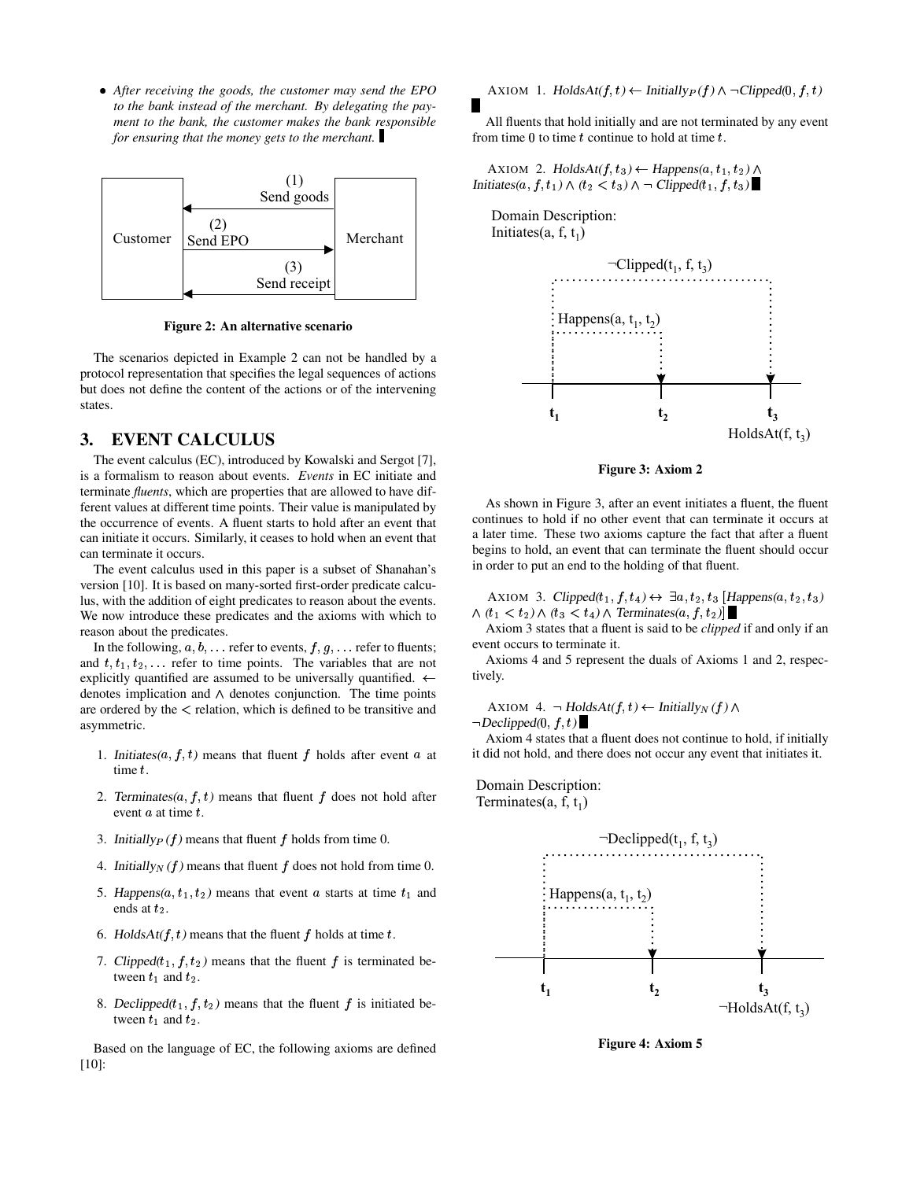-*After receiving the goods, the customer may send the EPO to the bank instead of the merchant. By delegating the payment to the bank, the customer makes the bank responsible for ensuring that the money gets to the merchant.*



**Figure 2: An alternative scenario**

The scenarios depicted in Example 2 can not be handled by a protocol representation that specifies the legal sequences of actions but does not define the content of the actions or of the intervening states.

# **3. EVENT CALCULUS**

The event calculus (EC), introduced by Kowalski and Sergot [7], is a formalism to reason about events. *Events* in EC initiate and terminate *fluents*, which are properties that are allowed to have different values at different time points. Their value is manipulated by the occurrence of events. A fluent starts to hold after an event that can initiate it occurs. Similarly, it ceases to hold when an event that can terminate it occurs.

The event calculus used in this paper is a subset of Shanahan's version [10]. It is based on many-sorted first-order predicate calculus, with the addition of eight predicates to reason about the events. We now introduce these predicates and the axioms with which to reason about the predicates.

In the following,  $a, b, \ldots$  refer to events,  $f, g, \ldots$  refer to fluents; and  $t, t_1, t_2, \ldots$  refer to time points. The variables that are not explicitly quantified are assumed to be universally quantified.  $\leftarrow$ denotes implication and  $\wedge$  denotes conjunction. The time points are ordered by the  $\lt$  relation, which is defined to be transitive and asymmetric.

- 1. Initiates $(a, f, t)$  means that fluent f holds after event a at it time  $t$ .
- 2. Terminates $(a, f, t)$  means that fluent f does not hold after event  $a$  at time  $t$ .
- 3. Initially  $p(f)$  means that fluent f holds from time 0.
- 4. Initially  $\gamma$  (f) means that fluent f does not hold from time 0.
- 5. Happens( $a, t_1, t_2$ ) means that event  $a$  starts at time  $t_1$  and ends at  $t_2$ .
- 6. Holds $At(f, t)$  means that the fluent f holds at time t.
- 7. Clipped( $t_1, f, t_2$ ) means that the fluent f is terminated between  $t_1$  and  $t_2$ .
- 8. Declipped( $t_1, f, t_2$ ) means that the fluent f is initiated between  $t_1$  and  $t_2$ .

Based on the language of EC, the following axioms are defined [10]:

AXIOM 1. Holds $At(f, t) \leftarrow \text{Initially}_P(f) \land \neg \text{Clipped}(0, f, t)$ 

All fluents that hold initially and are not terminated by any event from time  $0$  to time  $t$  continue to hold at time  $t$ .

AXIOM 2. Holds $At(f, t_3) \leftarrow$  Happens $(a, t_1, t_2) \wedge$ Initiates(a, f, t<sub>1</sub>)  $\wedge$  (t<sub>2</sub> < t<sub>3</sub>)  $\wedge$   $\neg$  Clipped(t<sub>1</sub>, f, t<sub>3</sub>)

Domain Description: Initiates(a, f,  $t_1$ )

П



**Figure 3: Axiom 2**

As shown in Figure 3, after an event initiates a fluent, the fluent continues to hold if no other event that can terminate it occurs at a later time. These two axioms capture the fact that after a fluent begins to hold, an event that can terminate the fluent should occur in order to put an end to the holding of that fluent.

AXIOM 3. Clipped $(t_1, f, t_4) \leftrightarrow \exists a, t_2, t_3$  [Happens( $a, t_2, t_3$ )  $\wedge$   $(t_1 < t_2) \wedge (t_3 < t_4) \wedge$  Terminates $(a, f, t_2)$ 

Axiom 3 states that a fluent is said to be *clipped* if and only if an event occurs to terminate it.

Axioms 4 and 5 represent the duals of Axioms 1 and 2, respectively.

AXIOM 4.  $\neg$  Holds $At(f, t) \leftarrow$  Initially  $(f) \wedge$ 

 $\neg$ Declipped $(0, f, t)$ 

Axiom 4 states that a fluent does not continue to hold, if initially it did not hold, and there does not occur any event that initiates it.

# Domain Description: Terminates(a, f,  $t_1$ )



**Figure 4: Axiom 5**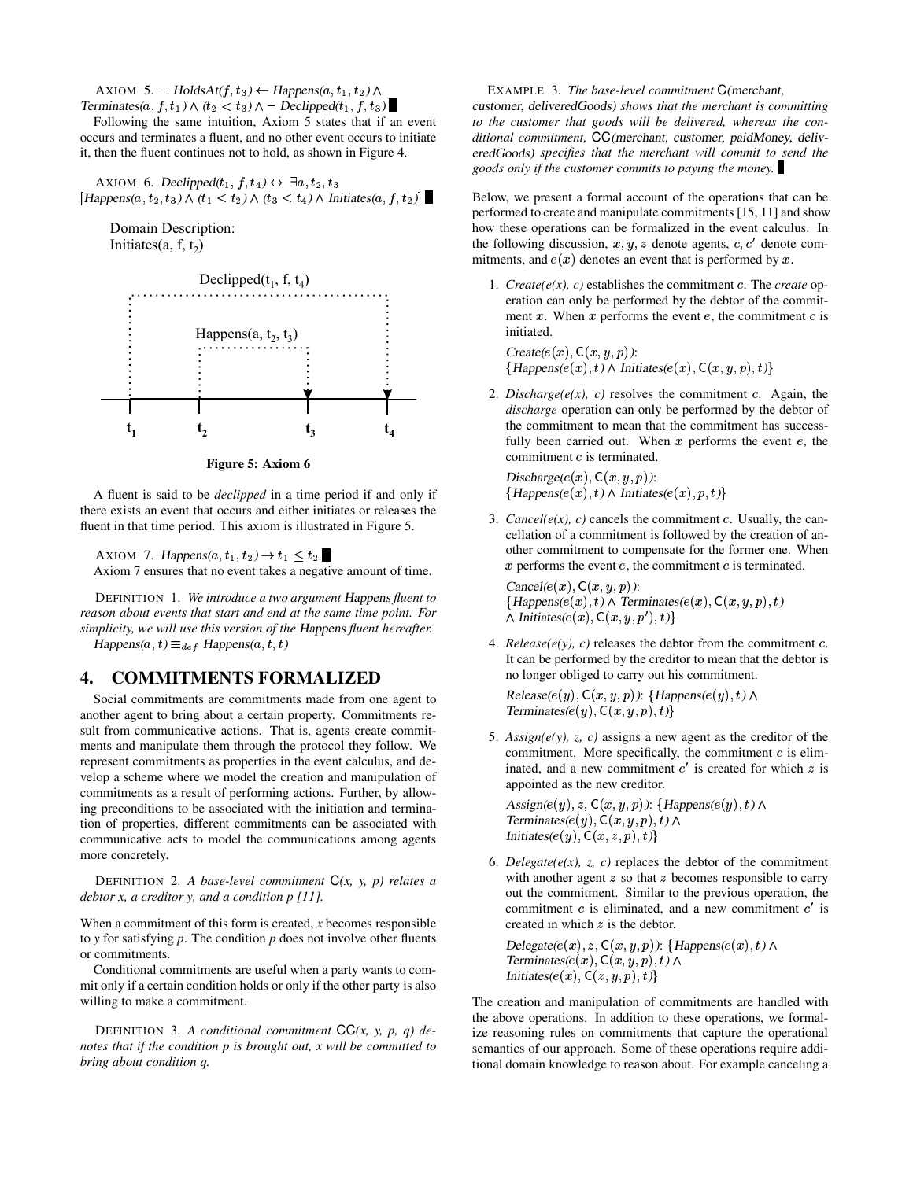AXIOM 5.  $\neg$  HoldsAt(f, t<sub>3</sub>)  $\leftarrow$  Happens(a, t<sub>1</sub>, t<sub>2</sub>)  $\wedge$ Terminates(a, f, t<sub>1</sub>)  $\wedge$  (t<sub>2</sub> < t<sub>3</sub>)  $\wedge$   $\neg$  Declipped(t<sub>1</sub>, f, t<sub>3</sub>)

Following the same intuition, Axiom 5 states that if an event occurs and terminates a fluent, and no other event occurs to initiate it, then the fluent continues not to hold, as shown in Figure 4.

AXIOM 6. Declipped $(t_1, f, t_4) \leftrightarrow \exists a, t_2, t_3$ [Happens(a, t<sub>2</sub>, t<sub>3</sub>)  $\wedge$  (t<sub>1</sub> < t<sub>2</sub>)  $\wedge$  (t<sub>3</sub> < t<sub>4</sub>)  $\wedge$  Initiates(a, f<sub>1</sub>, t<sub>2</sub>)]

Domain Description: Initiates(a, f,  $t_2$ )



**Figure 5: Axiom 6**

A fluent is said to be *declipped* in a time period if and only if there exists an event that occurs and either initiates or releases the fluent in that time period. This axiom is illustrated in Figure 5.

AXIOM 7. Happens $(a, t_1, t_2) \rightarrow t_1 \leq t_2$ Axiom 7 ensures that no event takes a negative amount of time.

DEFINITION 1. *We introduce a two argument* Happens *fluent to reason about events that start and end at the same time point. For simplicity, we will use this version of the* Happens *fluent hereafter.*  $Happens(a, t) \equiv_{def} Happens(a, t, t)$ 

# **4. COMMITMENTS FORMALIZED**

Social commitments are commitments made from one agent to another agent to bring about a certain property. Commitments result from communicative actions. That is, agents create commitments and manipulate them through the protocol they follow. We represent commitments as properties in the event calculus, and develop a scheme where we model the creation and manipulation of commitments as a result of performing actions. Further, by allowing preconditions to be associated with the initiation and termination of properties, different commitments can be associated with communicative acts to model the communications among agents more concretely.

DEFINITION 2. A *base-level commitment*  $C(x, y, p)$  *relates a debtor x, a creditor y, and a condition p [11].*

When a commitment of this form is created, *x* becomes responsible to *y* for satisfying *p*. The condition *p* does not involve other fluents or commitments.

Conditional commitments are useful when a party wants to commit only if a certain condition holds or only if the other party is also willing to make a commitment.

DEFINITION 3. *A conditional commitment* CC*(x, y, p, q) denotes that if the condition p is brought out, x will be committed to bring about condition q.*

EXAMPLE 3. *The base-level commitment* C(merchant,

customer, deliveredGoods) *shows that the merchant is committing to the customer that goods will be delivered, whereas the conditional commitment,* CC(merchant, customer, paidMoney, deliveredGoods) *specifies that the merchant will commit to send the goods only if the customer commits to paying the money.*

Below, we present a formal account of the operations that can be performed to create and manipulate commitments [15, 11] and show how these operations can be formalized in the event calculus. In the following discussion,  $x, y, z$  denote agents, c, c' denote commitments, and  $e(x)$  denotes an event that is performed by x.

1. *Create(e(x), c)* establishes the commitment  $c$ . The *create* operation can only be performed by the debtor of the commitment x. When x performs the event  $e$ , the commitment  $c$  is initiated.

 $Create(e(x), C(x, y, p))$ :  ${Happens}(e(x), t) \wedge Initiates(e(x), C(x, y, p), t)$ 

2. *Discharge(e(x), c)* resolves the commitment c. Again, the *discharge* operation can only be performed by the debtor of the commitment to mean that the commitment has successfully been carried out. When  $x$  performs the event  $e$ , the commitment  $c$  is terminated.

Discharge( $e(x)$ ,  $C(x, y, p)$ ):  ${Happens}(e(x), t) \wedge Initiates(e(x), p, t)$ 

3. *Cancel(e(x), c)* cancels the commitment c. Usually, the cancellation of a commitment is followed by the creation of another commitment to compensate for the former one. When  $x$  performs the event  $e$ , the commitment  $c$  is terminated.

 $Cancel(e(x), C(x, y, p))$ :  ${Happens(e(x), t) \wedge Terminates(e(x), C(x, y, p), t)}$  $\land$  Initiates(e(x), C(x, y, p'), t)}

4. *Release(e(y), c)* releases the debtor from the commitment  $c$ . It can be performed by the creditor to mean that the debtor is no longer obliged to carry out his commitment.

 $Release(e(y), C(x, y, p))$ : {Happens( $e(y), t$ )  $\wedge$ Terminates( $e(y)$ ,  $C(x, y, p)$ , t)}

5.  $Assign(e(y), z, c)$  assigns a new agent as the creditor of the commitment. More specifically, the commitment  $c$  is eliminated, and a new commitment  $c'$  is created for which  $z$  is appointed as the new creditor.

 $Assign(e(y), z, \mathsf{C}(x, y, p))$ : {Happens( $e(y), t$ )  $\wedge$ Terminates( $e(y)$ ,  $C(x, y, p)$ ,  $t)$   $\wedge$  $Initiates(e(y), C(x, z, p), t)$ 

6. *Delegate(e(x), z, c)* replaces the debtor of the commitment with another agent  $z$  so that  $z$  becomes responsible to carry out the commitment. Similar to the previous operation, the commitment  $c$  is eliminated, and a new commitment  $c'$  is created in which  $z$  is the debtor.

Delegate $(e(x), z, \mathsf{C}(x, y, p))$ : {Happens $(e(x), t)$   $\wedge$ Terminates $(e(x), \mathsf{C}(x, y, p), t) \wedge$ Initiates( $e(x)$ ,  $C(z, y, p)$ , t)}

The creation and manipulation of commitments are handled with the above operations. In addition to these operations, we formalize reasoning rules on commitments that capture the operational semantics of our approach. Some of these operations require additional domain knowledge to reason about. For example canceling a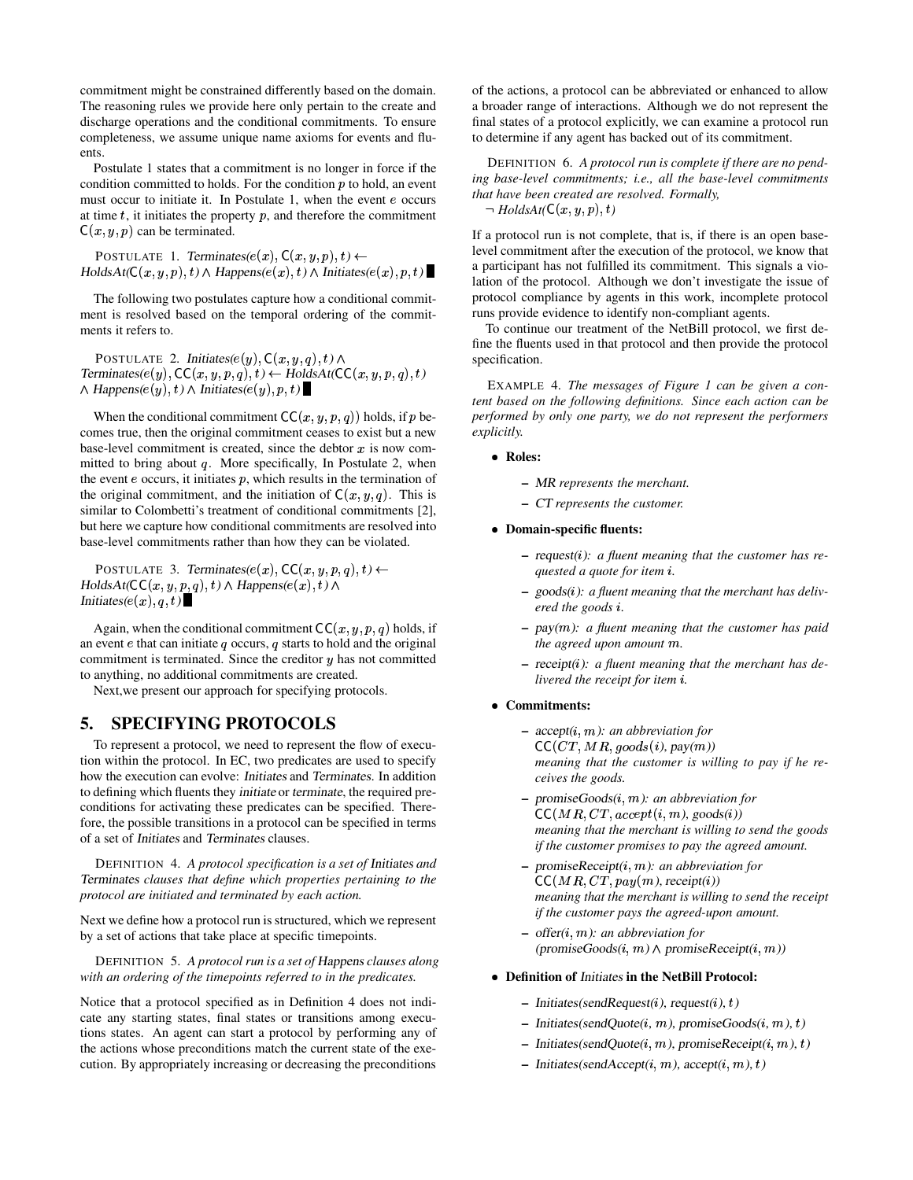commitment might be constrained differently based on the domain. The reasoning rules we provide here only pertain to the create and discharge operations and the conditional commitments. To ensure completeness, we assume unique name axioms for events and fluents.

Postulate 1 states that a commitment is no longer in force if the condition committed to holds. For the condition  $p$  to hold, an event must occur to initiate it. In Postulate 1, when the event  $e$  occurs at time  $t$ , it initiates the property  $p$ , and therefore the commitment  $C(x, y, p)$  can be terminated.

POSTULATE 1. Terminates $(e(x), \mathsf{C}(x, y, p), t) \leftarrow$  $HoldsAt(C(x, y, p), t) \wedge Happens(e(x), t) \wedge Initiates(e(x), p, t)$ 

The following two postulates capture how a conditional commitment is resolved based on the temporal ordering of the commitments it refers to.

POSTULATE 2. Initiates $(e(y), \mathsf{C}(x,y,q), t) \wedge$ Terminates( $e(y)$ ,  $\mathsf{CC}(x, y, p, q)$ ,  $t) \leftarrow \text{HoldsAt}(\mathsf{CC}(x, y, p, q)$ ,  $t)$  $\wedge$  Happens( $e(y), t$ )  $\wedge$  Initiates( $e(y), p, t$ )

When the conditional commitment  $\mathsf{CC}(x, y, p, q)$  holds, if p becomes true, then the original commitment ceases to exist but a new base-level commitment is created, since the debtor  $x$  is now committed to bring about  $q$ . More specifically, In Postulate 2, when the event  $e$  occurs, it initiates  $p$ , which results in the termination of the original commitment, and the initiation of  $C(x, y, q)$ . This is similar to Colombetti's treatment of conditional commitments [2], but here we capture how conditional commitments are resolved into base-level commitments rather than how they can be violated.

POSTULATE 3. Terminates( $e(x)$ , CC( $x, y, p, q$ ), t)  $\leftarrow$  $HoldsAt(\mathsf{CC}(x, y, p, q), t) \wedge \mathit{Happens}(e(x), t) \wedge$ Initiates $(e(x), q, t)$ 

Again, when the conditional commitment  $\mathsf{CC}(x, y, p, q)$  holds, if an event  $e$  that can initiate  $q$  occurs,  $q$  starts to hold and the original commitment is terminated. Since the creditor  $y$  has not committed to anything, no additional commitments are created.

Next,we present our approach for specifying protocols.

# **5. SPECIFYING PROTOCOLS**

To represent a protocol, we need to represent the flow of execution within the protocol. In EC, two predicates are used to specify how the execution can evolve: Initiates and Terminates. In addition to defining which fluents they initiate or terminate, the required preconditions for activating these predicates can be specified. Therefore, the possible transitions in a protocol can be specified in terms of a set of Initiates and Terminates clauses.

DEFINITION 4. *A protocol specification is a set of* Initiates *and* Terminates *clauses that define which properties pertaining to the protocol are initiated and terminated by each action.*

Next we define how a protocol run is structured, which we represent by a set of actions that take place at specific timepoints.

DEFINITION 5. *A protocol run is a set of* Happens *clauses along with an ordering of the timepoints referred to in the predicates.*

Notice that a protocol specified as in Definition 4 does not indicate any starting states, final states or transitions among executions states. An agent can start a protocol by performing any of the actions whose preconditions match the current state of the execution. By appropriately increasing or decreasing the preconditions

of the actions, a protocol can be abbreviated or enhanced to allow a broader range of interactions. Although we do not represent the final states of a protocol explicitly, we can examine a protocol run to determine if any agent has backed out of its commitment.

DEFINITION 6. *A protocol run is complete if there are no pending base-level commitments; i.e., all the base-level commitments that have been created are resolved. Formally,*

 $\neg$  *HoldsAt*( $C(x, y, p)$ , t)

If a protocol run is not complete, that is, if there is an open baselevel commitment after the execution of the protocol, we know that a participant has not fulfilled its commitment. This signals a violation of the protocol. Although we don't investigate the issue of protocol compliance by agents in this work, incomplete protocol runs provide evidence to identify non-compliant agents.

To continue our treatment of the NetBill protocol, we first define the fluents used in that protocol and then provide the protocol specification.

EXAMPLE 4. *The messages of Figure 1 can be given a content based on the following definitions. Since each action can be performed by only one party, we do not represent the performers explicitly.*

- Roles:
	- **–** MR *represents the merchant.*
	- **–** CT *represents the customer.*

#### **•** Domain-specific fluents:

- $-$  request(i): *a fluent meaning that the customer has reguested a quote for item i*.
- $-$  goods(i): *a fluent meaning that the merchant has deliv* $e$ *red the goods i*.
- **–** pay(p)*: a fluent meaning that the customer has paid the agreed upon amount*  $m$ *.*
- $-$  receipt(i): a fluent meaning that the merchant has de*livered* the *receipt* for *item i*.

#### • Commitments:

- $-$  accept(i, m): an abbreviation for  $\mathsf{CC}(CT, MR, goods(i), pay(m))$ *meaning that the customer is willing to pay if he receives the goods.*
- $-$  promiseGoods $(i, m)$ : *an abbreviation for*  $\mathsf{CC}(MR, CT, accept(i, m), goods(i))$ *meaning that the merchant is willing to send the goods if the customer promises to pay the agreed amount.*
- $-$  promiseReceipt(i, m): an abbreviation for  $\mathsf{CC}(MR, CT, pay(m), receipt(i))$ *meaning that the merchant is willing to send the receipt if the customer pays the agreed-upon amount.*
- $-$  offer $(i, m)$ *: an abbreviation for*  $(promiseGoods(i, m) \wedge promiseReceipt(i, m))$
- <sup>n</sup> **Definition of** Initiates **in the NetBill Protocol:**
	- **–** Initiates(sendRequest(i), request(i), t)
	- $-$  Initiates(sendQuote(i, m), promiseGoods(i, m), t)
	- $-$  Initiates(sendQuote(i, m), promiseReceipt(i, m), t)
	- $\blacksquare$  Initiates(sendAccept(i, m), accept(i, m), t)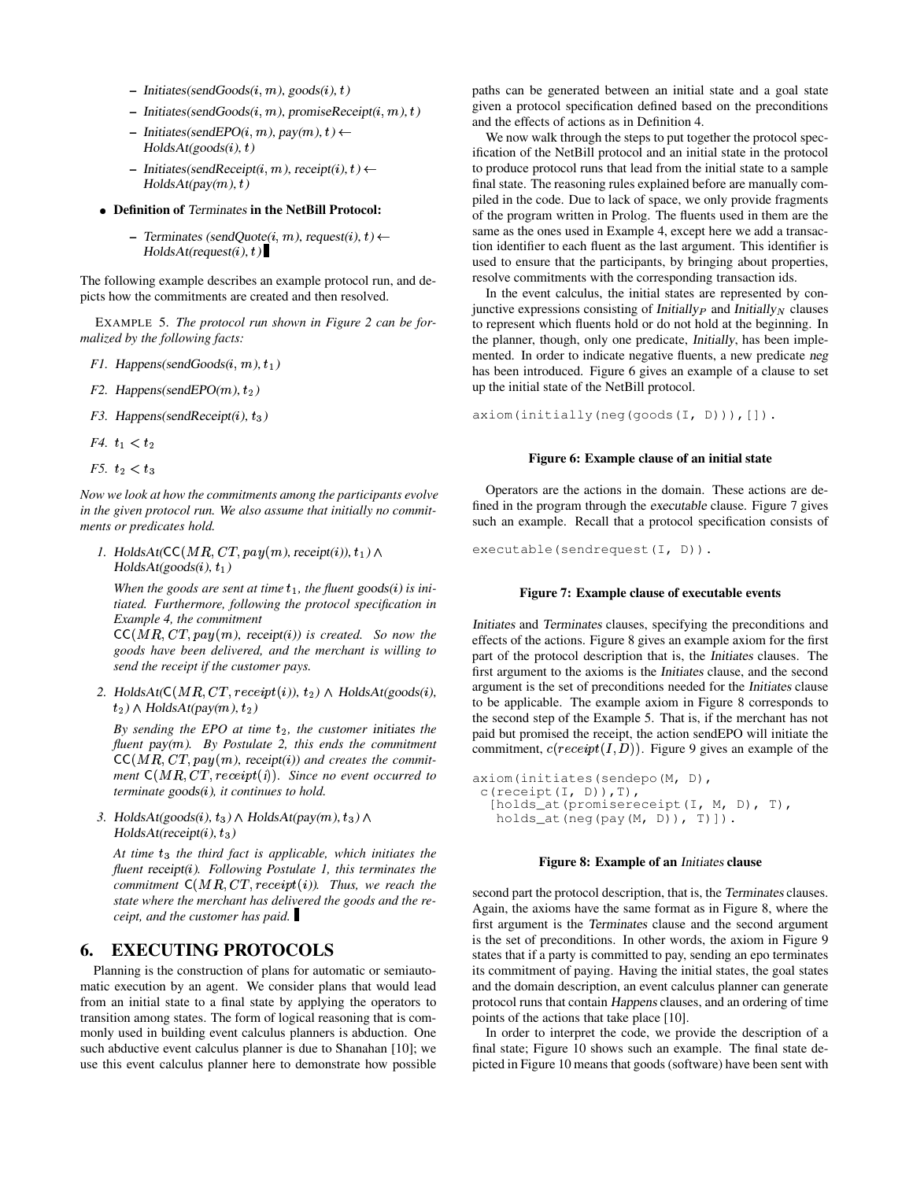- $-$  Initiates(sendGoods(i, m), goods(i), t)
- $-$  Initiates(sendGoods(i, m), promiseReceipt(i, m), t)
- $\text{-}$  Initiates(sendEPO(i, m), pay(m), t)  $\leftarrow$  $HoldsAt(goods(i), t)$
- **–** Initiates(sendReceipt(i, m), receipt(i),  $t$ )  $\leftarrow$  $HoldsAt(pay(m), t)$
- **Definition of** Terminates **in the NetBill Protocol:**
	- **–** Terminates (sendQuote(i, m), request(i),  $t$ )  $\leftarrow$  $HoldsAt(request(i), t)$

The following example describes an example protocol run, and depicts how the commitments are created and then resolved.

EXAMPLE 5. *The protocol run shown in Figure 2 can be formalized by the following facts:*

- *F1.* Happens(sendGoods $(i, m), t_1)$
- *F2.* Happens(sendEPO(m),  $t_2$ )
- *F3.* Happens(sendReceipt(i),  $t_3$ )
- *F4.*  $t_1 < t_2$
- *F5.*  $t_2 < t_3$

*Now we look at how the commitments among the participants evolve in the given protocol run. We also assume that initially no commitments or predicates hold.*

*1.* Holds $At(CC(MR, CT, pay(m), receipt(i)), t_1) \wedge$  $HoldsAt(goods(i), t<sub>1</sub>)$ 

*When the goods are sent at time*  $t_1$ *, the fluent goods(i) is initiated. Furthermore, following the protocol specification in Example 4, the commitment*

 $CC(MR, CT, pay(m), receipt(i))$  *is created. So now the goods have been delivered, and the merchant is willing to send the receipt if the customer pays.*

2. Holds $At(C(MR, CT, receipt(i)), t_2) \wedge HoldsAt(goods(i),$  $t_2$ )  $\wedge$  HoldsAt(pay(m),  $t_2$ )

*By sending the EPO at time , the customer* initiates *the fluent* pay()*. By Postulate 2, this ends the commitment*  $CC(MR, CT, pay(m), receipt(i))$  *and creates the commit* $m$ ent  $C(MR, CT, receipt(i)).$  *Since no event occurred to terminate* goods(*i*), *it continues to hold.* 

3. Holds $At(goods(i), t_3) \wedge HoldsAt(pay(m), t_3) \wedge$  $HoldsAt(receipt(i), t<sub>3</sub>)$ 

*At time the third fact is applicable, which initiates the fluent*  $\text{recept}(i)$ *. Following Postulate 1, this terminates the commitment*  $C(MR, CT, receipt(i))$ *. Thus, we reach the state where the merchant has delivered the goods and the receipt, and the customer has paid.*

# **6. EXECUTING PROTOCOLS**

Planning is the construction of plans for automatic or semiautomatic execution by an agent. We consider plans that would lead from an initial state to a final state by applying the operators to transition among states. The form of logical reasoning that is commonly used in building event calculus planners is abduction. One such abductive event calculus planner is due to Shanahan [10]; we use this event calculus planner here to demonstrate how possible

paths can be generated between an initial state and a goal state given a protocol specification defined based on the preconditions and the effects of actions as in Definition 4.

We now walk through the steps to put together the protocol specification of the NetBill protocol and an initial state in the protocol to produce protocol runs that lead from the initial state to a sample final state. The reasoning rules explained before are manually compiled in the code. Due to lack of space, we only provide fragments of the program written in Prolog. The fluents used in them are the same as the ones used in Example 4, except here we add a transaction identifier to each fluent as the last argument. This identifier is used to ensure that the participants, by bringing about properties, resolve commitments with the corresponding transaction ids.

In the event calculus, the initial states are represented by conjunctive expressions consisting of Initially  $_{P}$  and Initially  $_{N}$  clauses to represent which fluents hold or do not hold at the beginning. In the planner, though, only one predicate, Initially, has been implemented. In order to indicate negative fluents, a new predicate neg has been introduced. Figure 6 gives an example of a clause to set up the initial state of the NetBill protocol.

axiom(initially(neg(goods(I, D))),[]).

### **Figure 6: Example clause of an initial state**

Operators are the actions in the domain. These actions are defined in the program through the executable clause. Figure 7 gives such an example. Recall that a protocol specification consists of

executable(sendrequest(I, D)).

#### **Figure 7: Example clause of executable events**

Initiates and Terminates clauses, specifying the preconditions and effects of the actions. Figure 8 gives an example axiom for the first part of the protocol description that is, the Initiates clauses. The first argument to the axioms is the Initiates clause, and the second argument is the set of preconditions needed for the Initiates clause to be applicable. The example axiom in Figure 8 corresponds to the second step of the Example 5. That is, if the merchant has not paid but promised the receipt, the action sendEPO will initiate the commitment,  $c(receipt(I, D))$ . Figure 9 gives an example of the

```
axiom(initiates(sendepo(M, D),
 c(receipt(I, D)), T),[holds_at(promisereceipt(I, M, D), T),
   holds_at(neg(pay(M, D)), T)]).
```
### **Figure 8: Example of an** Initiates **clause**

second part the protocol description, that is, the Terminates clauses. Again, the axioms have the same format as in Figure 8, where the first argument is the Terminates clause and the second argument is the set of preconditions. In other words, the axiom in Figure 9 states that if a party is committed to pay, sending an epo terminates its commitment of paying. Having the initial states, the goal states and the domain description, an event calculus planner can generate protocol runs that contain Happens clauses, and an ordering of time points of the actions that take place [10].

In order to interpret the code, we provide the description of a final state; Figure 10 shows such an example. The final state depicted in Figure 10 means that goods (software) have been sent with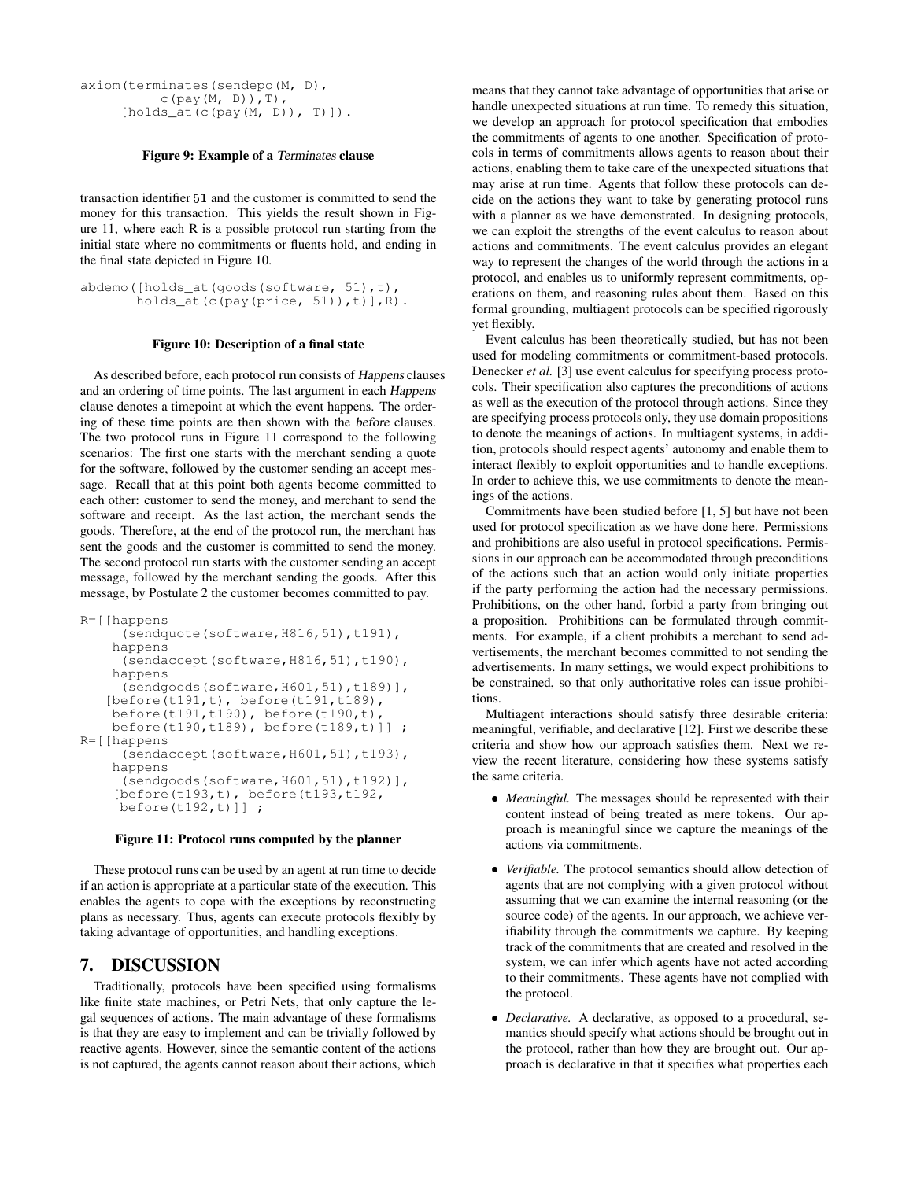axiom(terminates(sendepo(M, D),  $c$ (pay(M, D)),T),  $[holds_at(c(pay(M, D)), T)]$ .

#### **Figure 9: Example of a** Terminates **clause**

transaction identifier 51 and the customer is committed to send the money for this transaction. This yields the result shown in Figure 11, where each R is a possible protocol run starting from the initial state where no commitments or fluents hold, and ending in the final state depicted in Figure 10.

```
abdemo([holds_at(qoods(software, 51),t),
       holds_at(c(pay(price, 51)),t)],R).
```
#### **Figure 10: Description of a final state**

As described before, each protocol run consists of Happens clauses and an ordering of time points. The last argument in each Happens clause denotes a timepoint at which the event happens. The ordering of these time points are then shown with the before clauses. The two protocol runs in Figure 11 correspond to the following scenarios: The first one starts with the merchant sending a quote for the software, followed by the customer sending an accept message. Recall that at this point both agents become committed to each other: customer to send the money, and merchant to send the software and receipt. As the last action, the merchant sends the goods. Therefore, at the end of the protocol run, the merchant has sent the goods and the customer is committed to send the money. The second protocol run starts with the customer sending an accept message, followed by the merchant sending the goods. After this message, by Postulate 2 the customer becomes committed to pay.

```
R=[[happens
     (sendquote(software, H816, 51), t191),
    happens
     (sendaccept(software, H816, 51), t190),
    happens
     (sendgoods(software, H601, 51), t189)],
   [before(t191,t), before(t191,t189),
    before(t191,t190), before(t190,t),
    before(t190,t189), before(t189,t)]] ;
R=[[happens
     (sendaccept(software, H601, 51), t193),
    happens
     (sendgoods(software, H601, 51),t192)],
    [before(t193,t), before(t193,t192,
     before(t192,t)]] ;
```
### **Figure 11: Protocol runs computed by the planner**

These protocol runs can be used by an agent at run time to decide if an action is appropriate at a particular state of the execution. This enables the agents to cope with the exceptions by reconstructing plans as necessary. Thus, agents can execute protocols flexibly by taking advantage of opportunities, and handling exceptions.

# **7. DISCUSSION**

Traditionally, protocols have been specified using formalisms like finite state machines, or Petri Nets, that only capture the legal sequences of actions. The main advantage of these formalisms is that they are easy to implement and can be trivially followed by reactive agents. However, since the semantic content of the actions is not captured, the agents cannot reason about their actions, which

means that they cannot take advantage of opportunities that arise or handle unexpected situations at run time. To remedy this situation, we develop an approach for protocol specification that embodies the commitments of agents to one another. Specification of protocols in terms of commitments allows agents to reason about their actions, enabling them to take care of the unexpected situations that may arise at run time. Agents that follow these protocols can decide on the actions they want to take by generating protocol runs with a planner as we have demonstrated. In designing protocols, we can exploit the strengths of the event calculus to reason about actions and commitments. The event calculus provides an elegant way to represent the changes of the world through the actions in a protocol, and enables us to uniformly represent commitments, operations on them, and reasoning rules about them. Based on this formal grounding, multiagent protocols can be specified rigorously yet flexibly.

Event calculus has been theoretically studied, but has not been used for modeling commitments or commitment-based protocols. Denecker *et al.* [3] use event calculus for specifying process protocols. Their specification also captures the preconditions of actions as well as the execution of the protocol through actions. Since they are specifying process protocols only, they use domain propositions to denote the meanings of actions. In multiagent systems, in addition, protocols should respect agents' autonomy and enable them to interact flexibly to exploit opportunities and to handle exceptions. In order to achieve this, we use commitments to denote the meanings of the actions.

Commitments have been studied before [1, 5] but have not been used for protocol specification as we have done here. Permissions and prohibitions are also useful in protocol specifications. Permissions in our approach can be accommodated through preconditions of the actions such that an action would only initiate properties if the party performing the action had the necessary permissions. Prohibitions, on the other hand, forbid a party from bringing out a proposition. Prohibitions can be formulated through commitments. For example, if a client prohibits a merchant to send advertisements, the merchant becomes committed to not sending the advertisements. In many settings, we would expect prohibitions to be constrained, so that only authoritative roles can issue prohibitions.

Multiagent interactions should satisfy three desirable criteria: meaningful, verifiable, and declarative [12]. First we describe these criteria and show how our approach satisfies them. Next we review the recent literature, considering how these systems satisfy the same criteria.

- Meaningful. The messages should be represented with their content instead of being treated as mere tokens. Our approach is meaningful since we capture the meanings of the actions via commitments.
- Verifiable. The protocol semantics should allow detection of agents that are not complying with a given protocol without assuming that we can examine the internal reasoning (or the source code) of the agents. In our approach, we achieve verifiability through the commitments we capture. By keeping track of the commitments that are created and resolved in the system, we can infer which agents have not acted according to their commitments. These agents have not complied with the protocol.
- *Declarative*. A declarative, as opposed to a procedural, semantics should specify what actions should be brought out in the protocol, rather than how they are brought out. Our approach is declarative in that it specifies what properties each